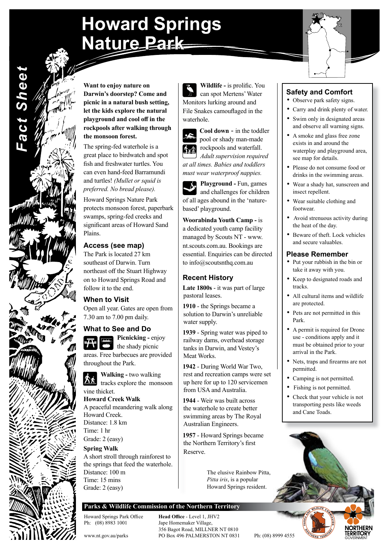# **Howard Springs Nature Park**



**Want to enjoy nature on Darwin's doorstep? Come and picnic in a natural bush setting, let the kids explore the natural playground and cool off in the rockpools after walking through the monsoon forest.**

*Fact Sheet*

**Fact Sheet** 

The spring-fed waterhole is a great place to birdwatch and spot fish and freshwater turtles. You can even hand-feed Barramundi and turtles! *(Mullet or squid is preferred. No bread please).*

Howard Springs Nature Park protects monsoon forest, paperbark swamps, spring-fed creeks and significant areas of Howard Sand Plains.

## **Access (see map)**

The Park is located 27 km southeast of Darwin. Turn northeast off the Stuart Highway on to Howard Springs Road and follow it to the end.

## **When to Visit**

Open all year. Gates are open from 7.30 am to 7.00 pm daily.

### **What to See and Do**

**Picnicking -** enjoy  $\sum$  the shady picnic areas. Free barbecues are provided throughout the Park.

**Walking -** two walking **the contracts** explore the monsoon vine thicket.

**Howard Creek Walk** A peaceful meandering walk along Howard Creek. Distance: 1.8 km Time: 1 hr Grade: 2 (easy)

**Spring Walk** A short stroll through rainforest to the springs that feed the waterhole. Distance: 100 m Time: 15 mins Grade: 2 (easy)

**Wildlife -** is prolific. You can spot Mertens' Water Monitors lurking around and File Snakes camouflaged in the waterhole.





*Adult supervision required at all times. Babies and toddlers must wear waterproof nappies.*

**Playground -** Fun, games and challenges for children of all ages abound in the 'naturebased' playground.

**Woorabinda Youth Camp -** is a dedicated youth camp facility managed by Scouts NT - www. nt.scouts.com.au. Bookings are essential. Enquiries can be directed to info@scoutsnthq.com.au

## **Recent History**

**Late 1800s** - it was part of large pastoral leases.

**1910** - the Springs became a solution to Darwin's unreliable water supply.

**1939** - Spring water was piped to railway dams, overhead storage tanks in Darwin, and Vestey's Meat Works.

**1942** - During World War Two, rest and recreation camps were set up here for up to 120 servicemen from USA and Australia.

**1944** - Weir was built across the waterhole to create better swimming areas by The Royal Australian Engineers.

**1957** - Howard Springs became the Northern Territory's first Reserve.

> The elusive Rainbow Pitta, *Pitta iris*, is a popular Howard Springs resident.

### **Parks & Wildlife Commission of the Northern Territory**

Howard Springs Park Office **Head Office** - Level 1, JHV2<br>
Ph: (08) 8983 1001 Jape Homemaker Village, Jape Homemaker Village, 356 Bagot Road, MILLNER NT 0810 www.nt.gov.au/parks PO Box 496 PALMERSTON NT 0831 Ph: (08) 8999 4555

## **Safety and Comfort**

- Observe park safety signs.
- Carry and drink plenty of water.
- Swim only in designated areas and observe all warning signs.
- A smoke and glass free zone exists in and around the waterplay and playground area, see map for details.
- Please do not consume food or drinks in the swimming areas.
- Wear a shady hat, sunscreen and insect repellent.
- Wear suitable clothing and footwear.
- Avoid strenuous activity during the heat of the day.
- Beware of theft. Lock vehicles and secure valuables.

#### **Please Remember**

- Put your rubbish in the bin or take it away with you.
- Keep to designated roads and tracks.
- All cultural items and wildlife are protected.
- Pets are not permitted in this Park.
- A permit is required for Drone use - conditions apply and it must be obtained prior to your arrival in the Park.
- Nets, traps and firearms are not permitted.
- Camping is not permitted.
- Fishing is not permitted.
- Check that your vehicle is not transporting pests like weeds and Cane Toads.